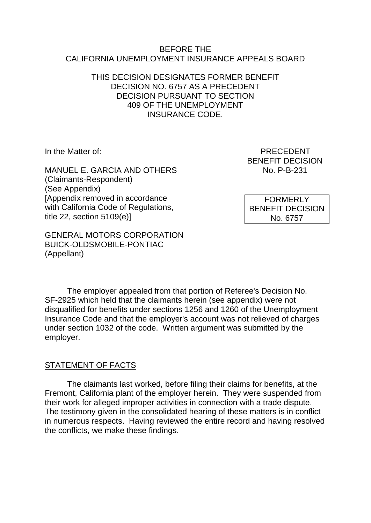#### BEFORE THE CALIFORNIA UNEMPLOYMENT INSURANCE APPEALS BOARD

### THIS DECISION DESIGNATES FORMER BENEFIT DECISION NO. 6757 AS A PRECEDENT DECISION PURSUANT TO SECTION 409 OF THE UNEMPLOYMENT INSURANCE CODE.

MANUEL E. GARCIA AND OTHERS (Claimants-Respondent) (See Appendix) [Appendix removed in accordance with California Code of Regulations, title 22, section 5109(e)]

GENERAL MOTORS CORPORATION BUICK-OLDSMOBILE-PONTIAC (Appellant)

In the Matter of: PRECEDENT BENEFIT DECISION<br>No. P-B-231

> **FORMERLY** BENEFIT DECISION No. 6757

The employer appealed from that portion of Referee's Decision No. SF-2925 which held that the claimants herein (see appendix) were not disqualified for benefits under sections 1256 and 1260 of the Unemployment Insurance Code and that the employer's account was not relieved of charges under section 1032 of the code. Written argument was submitted by the employer.

## STATEMENT OF FACTS

The claimants last worked, before filing their claims for benefits, at the Fremont, California plant of the employer herein. They were suspended from their work for alleged improper activities in connection with a trade dispute. The testimony given in the consolidated hearing of these matters is in conflict in numerous respects. Having reviewed the entire record and having resolved the conflicts, we make these findings.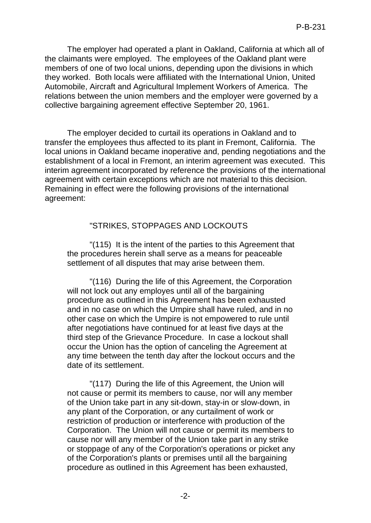The employer had operated a plant in Oakland, California at which all of the claimants were employed. The employees of the Oakland plant were members of one of two local unions, depending upon the divisions in which they worked. Both locals were affiliated with the International Union, United Automobile, Aircraft and Agricultural Implement Workers of America. The relations between the union members and the employer were governed by a collective bargaining agreement effective September 20, 1961.

The employer decided to curtail its operations in Oakland and to transfer the employees thus affected to its plant in Fremont, California. The local unions in Oakland became inoperative and, pending negotiations and the establishment of a local in Fremont, an interim agreement was executed. This interim agreement incorporated by reference the provisions of the international agreement with certain exceptions which are not material to this decision. Remaining in effect were the following provisions of the international agreement:

### "STRIKES, STOPPAGES AND LOCKOUTS

"(115) It is the intent of the parties to this Agreement that the procedures herein shall serve as a means for peaceable settlement of all disputes that may arise between them.

"(116) During the life of this Agreement, the Corporation will not lock out any employes until all of the bargaining procedure as outlined in this Agreement has been exhausted and in no case on which the Umpire shall have ruled, and in no other case on which the Umpire is not empowered to rule until after negotiations have continued for at least five days at the third step of the Grievance Procedure. In case a lockout shall occur the Union has the option of canceling the Agreement at any time between the tenth day after the lockout occurs and the date of its settlement.

"(117) During the life of this Agreement, the Union will not cause or permit its members to cause, nor will any member of the Union take part in any sit-down, stay-in or slow-down, in any plant of the Corporation, or any curtailment of work or restriction of production or interference with production of the Corporation. The Union will not cause or permit its members to cause nor will any member of the Union take part in any strike or stoppage of any of the Corporation's operations or picket any of the Corporation's plants or premises until all the bargaining procedure as outlined in this Agreement has been exhausted,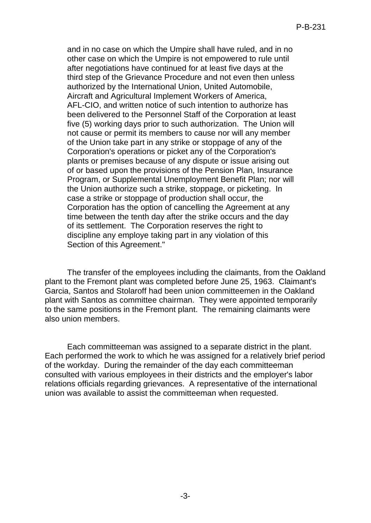and in no case on which the Umpire shall have ruled, and in no other case on which the Umpire is not empowered to rule until after negotiations have continued for at least five days at the third step of the Grievance Procedure and not even then unless authorized by the International Union, United Automobile, Aircraft and Agricultural Implement Workers of America, AFL-CIO, and written notice of such intention to authorize has been delivered to the Personnel Staff of the Corporation at least five (5) working days prior to such authorization. The Union will not cause or permit its members to cause nor will any member of the Union take part in any strike or stoppage of any of the Corporation's operations or picket any of the Corporation's plants or premises because of any dispute or issue arising out of or based upon the provisions of the Pension Plan, Insurance Program, or Supplemental Unemployment Benefit Plan; nor will the Union authorize such a strike, stoppage, or picketing. In case a strike or stoppage of production shall occur, the Corporation has the option of cancelling the Agreement at any time between the tenth day after the strike occurs and the day of its settlement. The Corporation reserves the right to discipline any employe taking part in any violation of this Section of this Agreement."

The transfer of the employees including the claimants, from the Oakland plant to the Fremont plant was completed before June 25, 1963. Claimant's Garcia, Santos and Stolaroff had been union committeemen in the Oakland plant with Santos as committee chairman. They were appointed temporarily to the same positions in the Fremont plant. The remaining claimants were also union members.

Each committeeman was assigned to a separate district in the plant. Each performed the work to which he was assigned for a relatively brief period of the workday. During the remainder of the day each committeeman consulted with various employees in their districts and the employer's labor relations officials regarding grievances. A representative of the international union was available to assist the committeeman when requested.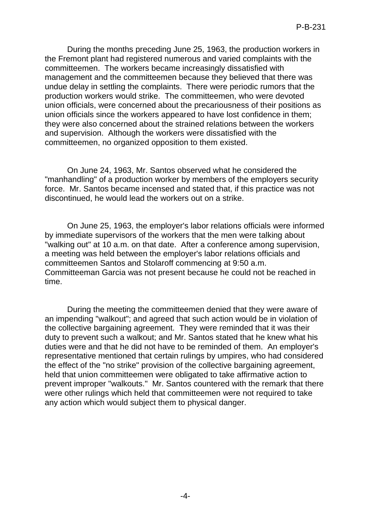During the months preceding June 25, 1963, the production workers in the Fremont plant had registered numerous and varied complaints with the committeemen. The workers became increasingly dissatisfied with management and the committeemen because they believed that there was undue delay in settling the complaints. There were periodic rumors that the production workers would strike. The committeemen, who were devoted union officials, were concerned about the precariousness of their positions as union officials since the workers appeared to have lost confidence in them; they were also concerned about the strained relations between the workers and supervision. Although the workers were dissatisfied with the committeemen, no organized opposition to them existed.

On June 24, 1963, Mr. Santos observed what he considered the "manhandling" of a production worker by members of the employers security force. Mr. Santos became incensed and stated that, if this practice was not discontinued, he would lead the workers out on a strike.

On June 25, 1963, the employer's labor relations officials were informed by immediate supervisors of the workers that the men were talking about "walking out" at 10 a.m. on that date. After a conference among supervision, a meeting was held between the employer's labor relations officials and committeemen Santos and Stolaroff commencing at 9:50 a.m. Committeeman Garcia was not present because he could not be reached in time.

During the meeting the committeemen denied that they were aware of an impending "walkout"; and agreed that such action would be in violation of the collective bargaining agreement. They were reminded that it was their duty to prevent such a walkout; and Mr. Santos stated that he knew what his duties were and that he did not have to be reminded of them. An employer's representative mentioned that certain rulings by umpires, who had considered the effect of the "no strike" provision of the collective bargaining agreement, held that union committeemen were obligated to take affirmative action to prevent improper "walkouts." Mr. Santos countered with the remark that there were other rulings which held that committeemen were not required to take any action which would subject them to physical danger.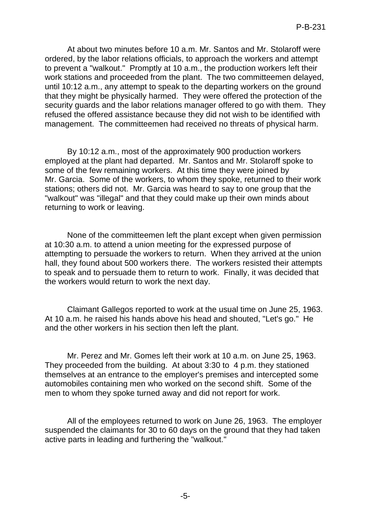At about two minutes before 10 a.m. Mr. Santos and Mr. Stolaroff were ordered, by the labor relations officials, to approach the workers and attempt to prevent a "walkout." Promptly at 10 a.m., the production workers left their work stations and proceeded from the plant. The two committeemen delayed, until 10:12 a.m., any attempt to speak to the departing workers on the ground that they might be physically harmed. They were offered the protection of the security guards and the labor relations manager offered to go with them. They refused the offered assistance because they did not wish to be identified with management. The committeemen had received no threats of physical harm.

By 10:12 a.m., most of the approximately 900 production workers employed at the plant had departed. Mr. Santos and Mr. Stolaroff spoke to some of the few remaining workers. At this time they were joined by Mr. Garcia. Some of the workers, to whom they spoke, returned to their work stations; others did not. Mr. Garcia was heard to say to one group that the "walkout" was "illegal" and that they could make up their own minds about returning to work or leaving.

None of the committeemen left the plant except when given permission at 10:30 a.m. to attend a union meeting for the expressed purpose of attempting to persuade the workers to return. When they arrived at the union hall, they found about 500 workers there. The workers resisted their attempts to speak and to persuade them to return to work. Finally, it was decided that the workers would return to work the next day.

Claimant Gallegos reported to work at the usual time on June 25, 1963. At 10 a.m. he raised his hands above his head and shouted, "Let's go." He and the other workers in his section then left the plant.

Mr. Perez and Mr. Gomes left their work at 10 a.m. on June 25, 1963. They proceeded from the building. At about 3:30 to 4 p.m. they stationed themselves at an entrance to the employer's premises and intercepted some automobiles containing men who worked on the second shift. Some of the men to whom they spoke turned away and did not report for work.

All of the employees returned to work on June 26, 1963. The employer suspended the claimants for 30 to 60 days on the ground that they had taken active parts in leading and furthering the "walkout."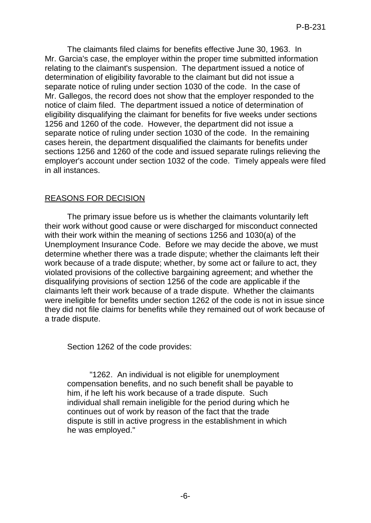The claimants filed claims for benefits effective June 30, 1963. In Mr. Garcia's case, the employer within the proper time submitted information relating to the claimant's suspension. The department issued a notice of determination of eligibility favorable to the claimant but did not issue a separate notice of ruling under section 1030 of the code. In the case of Mr. Gallegos, the record does not show that the employer responded to the notice of claim filed. The department issued a notice of determination of eligibility disqualifying the claimant for benefits for five weeks under sections 1256 and 1260 of the code. However, the department did not issue a separate notice of ruling under section 1030 of the code. In the remaining cases herein, the department disqualified the claimants for benefits under sections 1256 and 1260 of the code and issued separate rulings relieving the employer's account under section 1032 of the code. Timely appeals were filed in all instances.

# REASONS FOR DECISION

The primary issue before us is whether the claimants voluntarily left their work without good cause or were discharged for misconduct connected with their work within the meaning of sections 1256 and 1030(a) of the Unemployment Insurance Code. Before we may decide the above, we must determine whether there was a trade dispute; whether the claimants left their work because of a trade dispute; whether, by some act or failure to act, they violated provisions of the collective bargaining agreement; and whether the disqualifying provisions of section 1256 of the code are applicable if the claimants left their work because of a trade dispute. Whether the claimants were ineligible for benefits under section 1262 of the code is not in issue since they did not file claims for benefits while they remained out of work because of a trade dispute.

Section 1262 of the code provides:

"1262. An individual is not eligible for unemployment compensation benefits, and no such benefit shall be payable to him, if he left his work because of a trade dispute. Such individual shall remain ineligible for the period during which he continues out of work by reason of the fact that the trade dispute is still in active progress in the establishment in which he was employed."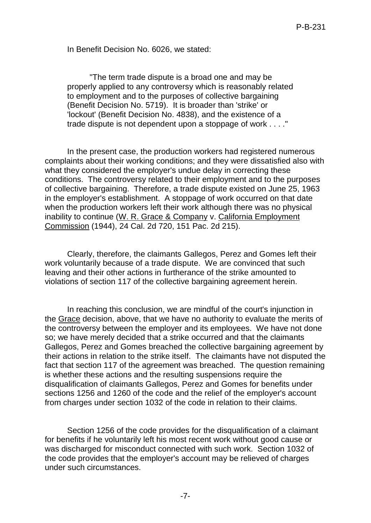In Benefit Decision No. 6026, we stated:

"The term trade dispute is a broad one and may be properly applied to any controversy which is reasonably related to employment and to the purposes of collective bargaining (Benefit Decision No. 5719). It is broader than 'strike' or 'lockout' (Benefit Decision No. 4838), and the existence of a trade dispute is not dependent upon a stoppage of work . . . ."

In the present case, the production workers had registered numerous complaints about their working conditions; and they were dissatisfied also with what they considered the employer's undue delay in correcting these conditions. The controversy related to their employment and to the purposes of collective bargaining. Therefore, a trade dispute existed on June 25, 1963 in the employer's establishment. A stoppage of work occurred on that date when the production workers left their work although there was no physical inability to continue (W. R. Grace & Company v. California Employment Commission (1944), 24 Cal. 2d 720, 151 Pac. 2d 215).

Clearly, therefore, the claimants Gallegos, Perez and Gomes left their work voluntarily because of a trade dispute. We are convinced that such leaving and their other actions in furtherance of the strike amounted to violations of section 117 of the collective bargaining agreement herein.

In reaching this conclusion, we are mindful of the court's injunction in the Grace decision, above, that we have no authority to evaluate the merits of the controversy between the employer and its employees. We have not done so; we have merely decided that a strike occurred and that the claimants Gallegos, Perez and Gomes breached the collective bargaining agreement by their actions in relation to the strike itself. The claimants have not disputed the fact that section 117 of the agreement was breached. The question remaining is whether these actions and the resulting suspensions require the disqualification of claimants Gallegos, Perez and Gomes for benefits under sections 1256 and 1260 of the code and the relief of the employer's account from charges under section 1032 of the code in relation to their claims.

Section 1256 of the code provides for the disqualification of a claimant for benefits if he voluntarily left his most recent work without good cause or was discharged for misconduct connected with such work. Section 1032 of the code provides that the employer's account may be relieved of charges under such circumstances.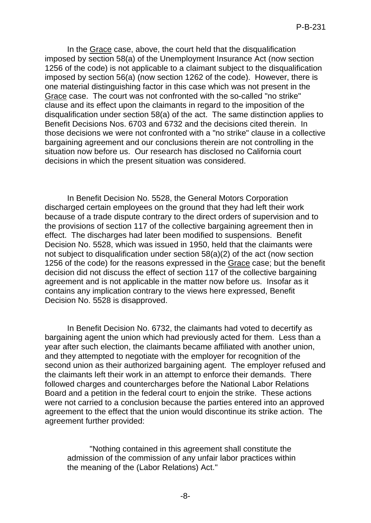In the Grace case, above, the court held that the disqualification imposed by section 58(a) of the Unemployment Insurance Act (now section 1256 of the code) is not applicable to a claimant subject to the disqualification imposed by section 56(a) (now section 1262 of the code). However, there is one material distinguishing factor in this case which was not present in the Grace case. The court was not confronted with the so-called "no strike" clause and its effect upon the claimants in regard to the imposition of the disqualification under section 58(a) of the act. The same distinction applies to Benefit Decisions Nos. 6703 and 6732 and the decisions cited therein. In those decisions we were not confronted with a "no strike" clause in a collective bargaining agreement and our conclusions therein are not controlling in the situation now before us. Our research has disclosed no California court decisions in which the present situation was considered.

In Benefit Decision No. 5528, the General Motors Corporation discharged certain employees on the ground that they had left their work because of a trade dispute contrary to the direct orders of supervision and to the provisions of section 117 of the collective bargaining agreement then in effect. The discharges had later been modified to suspensions. Benefit Decision No. 5528, which was issued in 1950, held that the claimants were not subject to disqualification under section 58(a)(2) of the act (now section 1256 of the code) for the reasons expressed in the Grace case; but the benefit decision did not discuss the effect of section 117 of the collective bargaining agreement and is not applicable in the matter now before us. Insofar as it contains any implication contrary to the views here expressed, Benefit Decision No. 5528 is disapproved.

In Benefit Decision No. 6732, the claimants had voted to decertify as bargaining agent the union which had previously acted for them. Less than a year after such election, the claimants became affiliated with another union, and they attempted to negotiate with the employer for recognition of the second union as their authorized bargaining agent. The employer refused and the claimants left their work in an attempt to enforce their demands. There followed charges and countercharges before the National Labor Relations Board and a petition in the federal court to enjoin the strike. These actions were not carried to a conclusion because the parties entered into an approved agreement to the effect that the union would discontinue its strike action. The agreement further provided:

"Nothing contained in this agreement shall constitute the admission of the commission of any unfair labor practices within the meaning of the (Labor Relations) Act."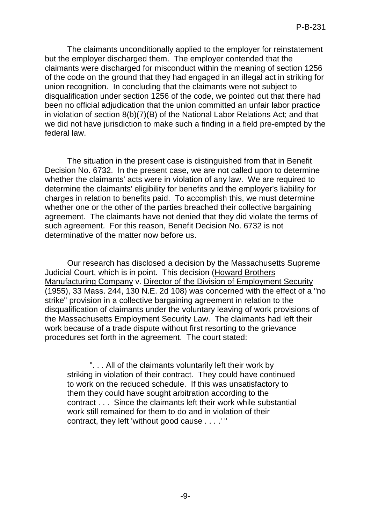The claimants unconditionally applied to the employer for reinstatement but the employer discharged them. The employer contended that the claimants were discharged for misconduct within the meaning of section 1256 of the code on the ground that they had engaged in an illegal act in striking for union recognition. In concluding that the claimants were not subject to disqualification under section 1256 of the code, we pointed out that there had been no official adjudication that the union committed an unfair labor practice in violation of section 8(b)(7)(B) of the National Labor Relations Act; and that we did not have jurisdiction to make such a finding in a field pre-empted by the federal law.

The situation in the present case is distinguished from that in Benefit Decision No. 6732. In the present case, we are not called upon to determine whether the claimants' acts were in violation of any law. We are required to determine the claimants' eligibility for benefits and the employer's liability for charges in relation to benefits paid. To accomplish this, we must determine whether one or the other of the parties breached their collective bargaining agreement. The claimants have not denied that they did violate the terms of such agreement. For this reason, Benefit Decision No. 6732 is not determinative of the matter now before us.

Our research has disclosed a decision by the Massachusetts Supreme Judicial Court, which is in point. This decision (Howard Brothers Manufacturing Company v. Director of the Division of Employment Security (1955), 33 Mass. 244, 130 N.E. 2d 108) was concerned with the effect of a "no strike" provision in a collective bargaining agreement in relation to the disqualification of claimants under the voluntary leaving of work provisions of the Massachusetts Employment Security Law. The claimants had left their work because of a trade dispute without first resorting to the grievance procedures set forth in the agreement. The court stated:

". . . All of the claimants voluntarily left their work by striking in violation of their contract. They could have continued to work on the reduced schedule. If this was unsatisfactory to them they could have sought arbitration according to the contract . . . Since the claimants left their work while substantial work still remained for them to do and in violation of their contract, they left 'without good cause . . . .' ''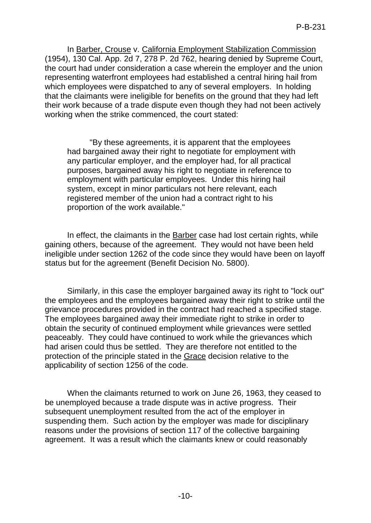In Barber, Crouse v. California Employment Stabilization Commission (1954), 130 Cal. App. 2d 7, 278 P. 2d 762, hearing denied by Supreme Court, the court had under consideration a case wherein the employer and the union representing waterfront employees had established a central hiring hail from which employees were dispatched to any of several employers. In holding that the claimants were ineligible for benefits on the ground that they had left their work because of a trade dispute even though they had not been actively working when the strike commenced, the court stated:

"By these agreements, it is apparent that the employees had bargained away their right to negotiate for employment with any particular employer, and the employer had, for all practical purposes, bargained away his right to negotiate in reference to employment with particular employees. Under this hiring hail system, except in minor particulars not here relevant, each registered member of the union had a contract right to his proportion of the work available."

In effect, the claimants in the Barber case had lost certain rights, while gaining others, because of the agreement. They would not have been held ineligible under section 1262 of the code since they would have been on layoff status but for the agreement (Benefit Decision No. 5800).

Similarly, in this case the employer bargained away its right to "lock out" the employees and the employees bargained away their right to strike until the grievance procedures provided in the contract had reached a specified stage. The employees bargained away their immediate right to strike in order to obtain the security of continued employment while grievances were settled peaceably. They could have continued to work while the grievances which had arisen could thus be settled. They are therefore not entitled to the protection of the principle stated in the Grace decision relative to the applicability of section 1256 of the code.

When the claimants returned to work on June 26, 1963, they ceased to be unemployed because a trade dispute was in active progress. Their subsequent unemployment resulted from the act of the employer in suspending them. Such action by the employer was made for disciplinary reasons under the provisions of section 117 of the collective bargaining agreement. It was a result which the claimants knew or could reasonably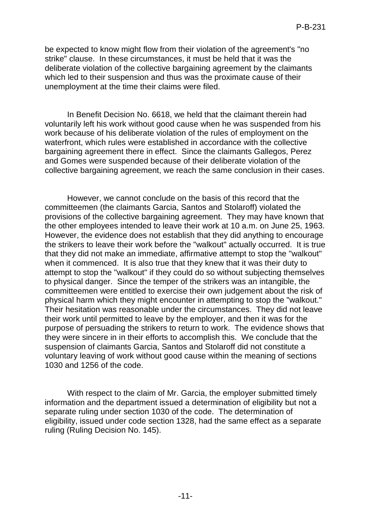be expected to know might flow from their violation of the agreement's "no strike" clause. In these circumstances, it must be held that it was the deliberate violation of the collective bargaining agreement by the claimants which led to their suspension and thus was the proximate cause of their unemployment at the time their claims were filed.

In Benefit Decision No. 6618, we held that the claimant therein had voluntarily left his work without good cause when he was suspended from his work because of his deliberate violation of the rules of employment on the waterfront, which rules were established in accordance with the collective bargaining agreement there in effect. Since the claimants Gallegos, Perez and Gomes were suspended because of their deliberate violation of the collective bargaining agreement, we reach the same conclusion in their cases.

However, we cannot conclude on the basis of this record that the committeemen (the claimants Garcia, Santos and Stolaroff) violated the provisions of the collective bargaining agreement. They may have known that the other employees intended to leave their work at 10 a.m. on June 25, 1963. However, the evidence does not establish that they did anything to encourage the strikers to leave their work before the "walkout" actually occurred. It is true that they did not make an immediate, affirmative attempt to stop the "walkout" when it commenced. It is also true that they knew that it was their duty to attempt to stop the "walkout" if they could do so without subjecting themselves to physical danger. Since the temper of the strikers was an intangible, the committeemen were entitled to exercise their own judgement about the risk of physical harm which they might encounter in attempting to stop the "walkout." Their hesitation was reasonable under the circumstances. They did not leave their work until permitted to leave by the employer, and then it was for the purpose of persuading the strikers to return to work. The evidence shows that they were sincere in in their efforts to accomplish this. We conclude that the suspension of claimants Garcia, Santos and Stolaroff did not constitute a voluntary leaving of work without good cause within the meaning of sections 1030 and 1256 of the code.

With respect to the claim of Mr. Garcia, the employer submitted timely information and the department issued a determination of eligibility but not a separate ruling under section 1030 of the code. The determination of eligibility, issued under code section 1328, had the same effect as a separate ruling (Ruling Decision No. 145).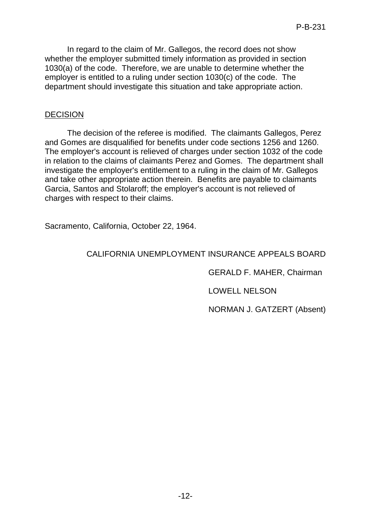In regard to the claim of Mr. Gallegos, the record does not show whether the employer submitted timely information as provided in section 1030(a) of the code. Therefore, we are unable to determine whether the employer is entitled to a ruling under section 1030(c) of the code. The department should investigate this situation and take appropriate action.

### DECISION

The decision of the referee is modified. The claimants Gallegos, Perez and Gomes are disqualified for benefits under code sections 1256 and 1260. The employer's account is relieved of charges under section 1032 of the code in relation to the claims of claimants Perez and Gomes. The department shall investigate the employer's entitlement to a ruling in the claim of Mr. Gallegos and take other appropriate action therein. Benefits are payable to claimants Garcia, Santos and Stolaroff; the employer's account is not relieved of charges with respect to their claims.

Sacramento, California, October 22, 1964.

### CALIFORNIA UNEMPLOYMENT INSURANCE APPEALS BOARD

GERALD F. MAHER, Chairman

LOWELL NELSON

NORMAN J. GATZERT (Absent)